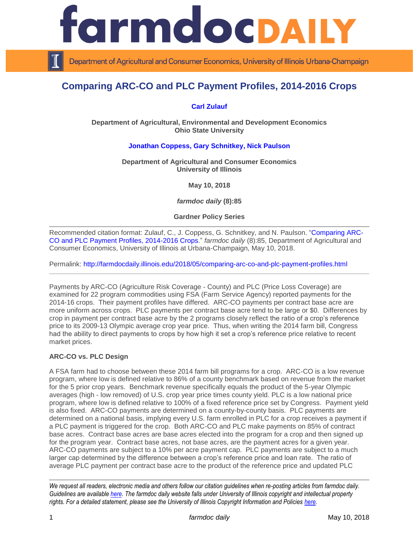

Department of Agricultural and Consumer Economics, University of Illinois Urbana-Champaign

# **Comparing ARC-CO and PLC Payment Profiles, 2014-2016 Crops**

# **[Carl Zulauf](http://aede.osu.edu/our-people/carl-zulauf)**

**Department of Agricultural, Environmental and Development Economics Ohio State University**

### **[Jonathan Coppess,](http://farmdoc.illinois.edu/coppess) [Gary Schnitkey,](http://farmdoc.illinois.edu/schnitkey) [Nick Paulson](http://farmdoc.illinois.edu/paulson)**

**Department of Agricultural and Consumer Economics University of Illinois**

**May 10, 2018**

*farmdoc daily* **(8):85**

**Gardner Policy Series**

Recommended citation format: Zulauf, C., J. Coppess, G. Schnitkey, and N. Paulson. ["Comparing ARC-](http://farmdocdaily.illinois.edu/2018/05/comparing-arc-co-and-plc-payment-profiles.html)[CO and PLC Payment Profiles, 2014-2016 Crops.](http://farmdocdaily.illinois.edu/2018/05/comparing-arc-co-and-plc-payment-profiles.html)" *farmdoc daily* (8):85, Department of Agricultural and Consumer Economics, University of Illinois at Urbana-Champaign, May 10, 2018.

Permalink:<http://farmdocdaily.illinois.edu/2018/05/comparing-arc-co-and-plc-payment-profiles.html>

Payments by ARC-CO (Agriculture Risk Coverage - County) and PLC (Price Loss Coverage) are examined for 22 program commodities using FSA (Farm Service Agency) reported payments for the 2014-16 crops. Their payment profiles have differed. ARC-CO payments per contract base acre are more uniform across crops. PLC payments per contract base acre tend to be large or \$0. Differences by crop in payment per contract base acre by the 2 programs closely reflect the ratio of a crop's reference price to its 2009-13 Olympic average crop year price. Thus, when writing the 2014 farm bill, Congress had the ability to direct payments to crops by how high it set a crop's reference price relative to recent market prices.

### **ARC-CO vs. PLC Design**

A FSA farm had to choose between these 2014 farm bill programs for a crop. ARC-CO is a low revenue program, where low is defined relative to 86% of a county benchmark based on revenue from the market for the 5 prior crop years. Benchmark revenue specifically equals the product of the 5-year Olympic averages (high - low removed) of U.S. crop year price times county yield. PLC is a low national price program, where low is defined relative to 100% of a fixed reference price set by Congress. Payment yield is also fixed. ARC-CO payments are determined on a county-by-county basis. PLC payments are determined on a national basis, implying every U.S. farm enrolled in PLC for a crop receives a payment if a PLC payment is triggered for the crop. Both ARC-CO and PLC make payments on 85% of contract base acres. Contract base acres are base acres elected into the program for a crop and then signed up for the program year. Contract base acres, not base acres, are the payment acres for a given year. ARC-CO payments are subject to a 10% per acre payment cap. PLC payments are subject to a much larger cap determined by the difference between a crop's reference price and loan rate. The ratio of average PLC payment per contract base acre to the product of the reference price and updated PLC

*We request all readers, electronic media and others follow our citation guidelines when re-posting articles from farmdoc daily. Guidelines are available [here.](http://farmdocdaily.illinois.edu/citationguide.html) The farmdoc daily website falls under University of Illinois copyright and intellectual property rights. For a detailed statement, please see the University of Illinois Copyright Information and Policies [here.](http://www.cio.illinois.edu/policies/copyright/)*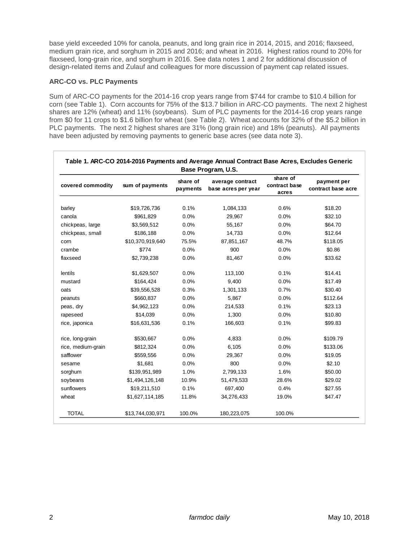base yield exceeded 10% for canola, peanuts, and long grain rice in 2014, 2015, and 2016; flaxseed, medium grain rice, and sorghum in 2015 and 2016; and wheat in 2016. Highest ratios round to 20% for flaxseed, long-grain rice, and sorghum in 2016. See data notes 1 and 2 for additional discussion of design-related items and Zulauf and colleagues for more discussion of payment cap related issues.

### **ARC-CO vs. PLC Payments**

Sum of ARC-CO payments for the 2014-16 crop years range from \$744 for crambe to \$10.4 billion for corn (see Table 1). Corn accounts for 75% of the \$13.7 billion in ARC-CO payments. The next 2 highest shares are 12% (wheat) and 11% (soybeans). Sum of PLC payments for the 2014-16 crop years range from \$0 for 11 crops to \$1.6 billion for wheat (see Table 2). Wheat accounts for 32% of the \$5.2 billion in PLC payments. The next 2 highest shares are 31% (long grain rice) and 18% (peanuts). All payments have been adjusted by removing payments to generic base acres (see data note 3).

| covered commodity  | sum of payments  | share of<br>payments | average contract<br>base acres per year | share of<br>contract base<br>acres | payment per<br>contract base acre |
|--------------------|------------------|----------------------|-----------------------------------------|------------------------------------|-----------------------------------|
| barley             | \$19,726,736     | 0.1%                 | 1,084,133                               | 0.6%                               | \$18.20                           |
| canola             | \$961,829        | 0.0%                 | 29,967                                  | 0.0%                               | \$32.10                           |
| chickpeas, large   | \$3,569,512      | 0.0%                 | 55,167                                  | 0.0%                               | \$64.70                           |
| chickpeas, small   | \$186,188        | 0.0%                 | 14,733                                  | 0.0%                               | \$12.64                           |
| corn               | \$10,370,919,640 | 75.5%                | 87,851,167                              | 48.7%                              | \$118.05                          |
| crambe             | \$774            | 0.0%                 | 900                                     | 0.0%                               | \$0.86                            |
| flaxseed           | \$2,739,238      | 0.0%                 | 81,467                                  | 0.0%                               | \$33.62                           |
| lentils            | \$1,629,507      | 0.0%                 | 113,100                                 | 0.1%                               | \$14.41                           |
| mustard            | \$164,424        | 0.0%                 | 9,400                                   | 0.0%                               | \$17.49                           |
| oats               | \$39,556,528     | 0.3%                 | 1,301,133                               | 0.7%                               | \$30.40                           |
| peanuts            | \$660,837        | 0.0%                 | 5,867                                   | 0.0%                               | \$112.64                          |
| peas, dry          | \$4,962,123      | 0.0%                 | 214,533                                 | 0.1%                               | \$23.13                           |
| rapeseed           | \$14,039         | 0.0%                 | 1,300                                   | 0.0%                               | \$10.80                           |
| rice, japonica     | \$16,631,536     | 0.1%                 | 166,603                                 | 0.1%                               | \$99.83                           |
| rice, long-grain   | \$530,667        | 0.0%                 | 4,833                                   | 0.0%                               | \$109.79                          |
| rice, medium-grain | \$812,324        | 0.0%                 | 6,105                                   | 0.0%                               | \$133.06                          |
| safflower          | \$559,556        | 0.0%                 | 29,367                                  | 0.0%                               | \$19.05                           |
| sesame             | \$1,681          | 0.0%                 | 800                                     | 0.0%                               | \$2.10                            |
| sorghum            | \$139,951,989    | 1.0%                 | 2,799,133                               | 1.6%                               | \$50.00                           |
| soybeans           | \$1,494,126,148  | 10.9%                | 51,479,533                              | 28.6%                              | \$29.02                           |
| sunflowers         | \$19,211,510     | 0.1%                 | 697,400                                 | 0.4%                               | \$27.55                           |
| wheat              | \$1,627,114,185  | 11.8%                | 34,276,433                              | 19.0%                              | \$47.47                           |
| <b>TOTAL</b>       | \$13,744,030,971 | 100.0%               | 180,223,075                             | 100.0%                             |                                   |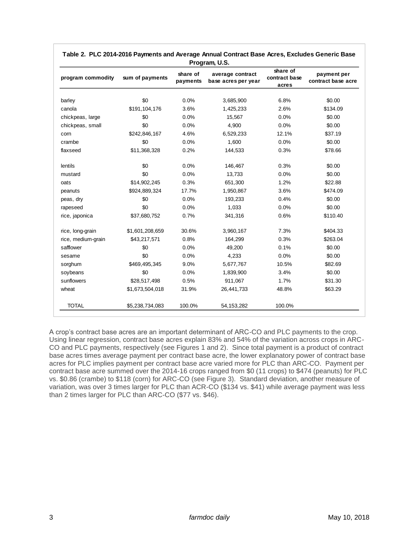| Program, U.S.      |                 |                      |                                         |                                    |                                   |  |  |  |
|--------------------|-----------------|----------------------|-----------------------------------------|------------------------------------|-----------------------------------|--|--|--|
| program commodity  | sum of payments | share of<br>payments | average contract<br>base acres per year | share of<br>contract base<br>acres | payment per<br>contract base acre |  |  |  |
|                    |                 |                      |                                         |                                    |                                   |  |  |  |
| barley             | \$0             | 0.0%                 | 3,685,900                               | 6.8%                               | \$0.00                            |  |  |  |
| canola             | \$191,104,176   | 3.6%                 | 1,425,233                               | 2.6%                               | \$134.09                          |  |  |  |
| chickpeas, large   | \$0             | 0.0%                 | 15,567                                  | 0.0%                               | \$0.00                            |  |  |  |
| chickpeas, small   | \$0             | 0.0%                 | 4,900                                   | 0.0%                               | \$0.00                            |  |  |  |
| corn               | \$242,846,167   | 4.6%                 | 6,529,233                               | 12.1%                              | \$37.19                           |  |  |  |
| crambe             | \$0             | 0.0%                 | 1,600                                   | 0.0%                               | \$0.00                            |  |  |  |
| flaxseed           | \$11,368,328    | 0.2%                 | 144,533                                 | 0.3%                               | \$78.66                           |  |  |  |
| lentils            | \$0             | 0.0%                 | 146,467                                 | 0.3%                               | \$0.00                            |  |  |  |
| mustard            | \$0             | 0.0%                 | 13,733                                  | 0.0%                               | \$0.00                            |  |  |  |
| oats               | \$14,902,245    | 0.3%                 | 651,300                                 | 1.2%                               | \$22.88                           |  |  |  |
| peanuts            | \$924,889,324   | 17.7%                | 1,950,867                               | 3.6%                               | \$474.09                          |  |  |  |
| peas, dry          | \$0             | 0.0%                 | 193,233                                 | 0.4%                               | \$0.00                            |  |  |  |
| rapeseed           | \$0             | 0.0%                 | 1,033                                   | 0.0%                               | \$0.00                            |  |  |  |
| rice, japonica     | \$37,680,752    | 0.7%                 | 341,316                                 | 0.6%                               | \$110.40                          |  |  |  |
| rice, long-grain   | \$1,601,208,659 | 30.6%                | 3,960,167                               | 7.3%                               | \$404.33                          |  |  |  |
| rice, medium-grain | \$43,217,571    | 0.8%                 | 164,299                                 | 0.3%                               | \$263.04                          |  |  |  |
| safflower          | \$0             | 0.0%                 | 49,200                                  | 0.1%                               | \$0.00                            |  |  |  |
| sesame             | \$0             | 0.0%                 | 4,233                                   | 0.0%                               | \$0.00                            |  |  |  |
| sorghum            | \$469,495,345   | 9.0%                 | 5,677,767                               | 10.5%                              | \$82.69                           |  |  |  |
| soybeans           | \$0             | 0.0%                 | 1,839,900                               | 3.4%                               | \$0.00                            |  |  |  |
| sunflowers         | \$28,517,498    | 0.5%                 | 911,067                                 | 1.7%                               | \$31.30                           |  |  |  |
| wheat              | \$1,673,504,018 | 31.9%                | 26,441,733                              | 48.8%                              | \$63.29                           |  |  |  |
| <b>TOTAL</b>       | \$5,238,734,083 | 100.0%               | 54, 153, 282                            | 100.0%                             |                                   |  |  |  |

# **Table 2. PLC 2014-2016 Payments and Average Annual Contract Base Acres, Excludes Generic Base**

A crop's contract base acres are an important determinant of ARC-CO and PLC payments to the crop. Using linear regression, contract base acres explain 83% and 54% of the variation across crops in ARC-CO and PLC payments, respectively (see Figures 1 and 2). Since total payment is a product of contract base acres times average payment per contract base acre, the lower explanatory power of contract base acres for PLC implies payment per contract base acre varied more for PLC than ARC-CO. Payment per contract base acre summed over the 2014-16 crops ranged from \$0 (11 crops) to \$474 (peanuts) for PLC vs. \$0.86 (crambe) to \$118 (corn) for ARC-CO (see Figure 3). Standard deviation, another measure of variation, was over 3 times larger for PLC than ACR-CO (\$134 vs. \$41) while average payment was less than 2 times larger for PLC than ARC-CO (\$77 vs. \$46).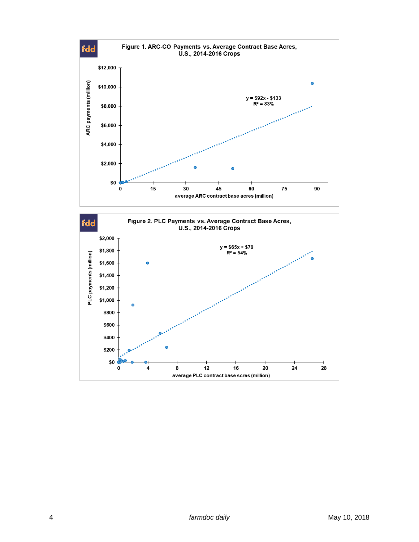

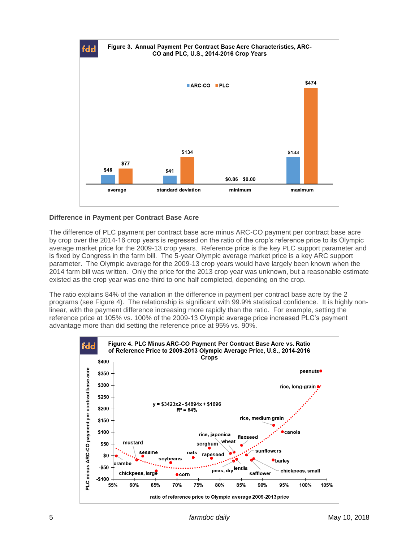

# **Difference in Payment per Contract Base Acre**

The difference of PLC payment per contract base acre minus ARC-CO payment per contract base acre by crop over the 2014-16 crop years is regressed on the ratio of the crop's reference price to its Olympic average market price for the 2009-13 crop years. Reference price is the key PLC support parameter and is fixed by Congress in the farm bill. The 5-year Olympic average market price is a key ARC support parameter. The Olympic average for the 2009-13 crop years would have largely been known when the 2014 farm bill was written. Only the price for the 2013 crop year was unknown, but a reasonable estimate existed as the crop year was one-third to one half completed, depending on the crop.

The ratio explains 84% of the variation in the difference in payment per contract base acre by the 2 programs (see Figure 4). The relationship is significant with 99.9% statistical confidence. It is highly nonlinear, with the payment difference increasing more rapidly than the ratio. For example, setting the reference price at 105% vs. 100% of the 2009-13 Olympic average price increased PLC's payment advantage more than did setting the reference price at 95% vs. 90%.

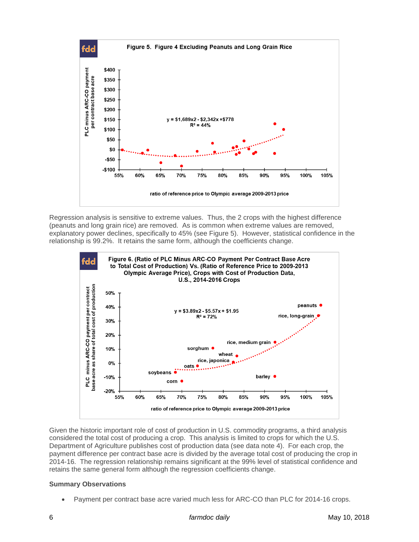

Regression analysis is sensitive to extreme values. Thus, the 2 crops with the highest difference (peanuts and long grain rice) are removed. As is common when extreme values are removed, explanatory power declines, specifically to 45% (see Figure 5). However, statistical confidence in the relationship is 99.2%. It retains the same form, although the coefficients change.



Given the historic important role of cost of production in U.S. commodity programs, a third analysis considered the total cost of producing a crop. This analysis is limited to crops for which the U.S. Department of Agriculture publishes cost of production data (see data note 4). For each crop, the payment difference per contract base acre is divided by the average total cost of producing the crop in 2014-16. The regression relationship remains significant at the 99% level of statistical confidence and retains the same general form although the regression coefficients change.

# **Summary Observations**

Payment per contract base acre varied much less for ARC-CO than PLC for 2014-16 crops.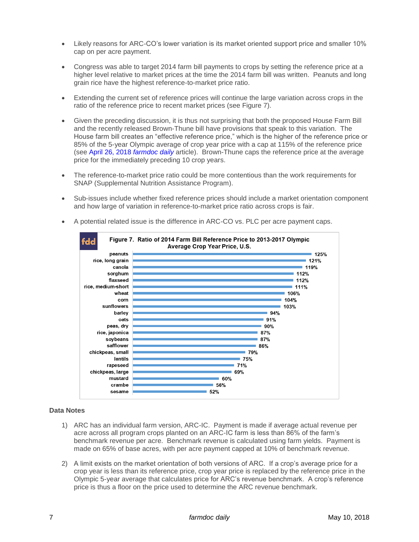- Likely reasons for ARC-CO's lower variation is its market oriented support price and smaller 10% cap on per acre payment.
- Congress was able to target 2014 farm bill payments to crops by setting the reference price at a higher level relative to market prices at the time the 2014 farm bill was written. Peanuts and long grain rice have the highest reference-to-market price ratio.
- Extending the current set of reference prices will continue the large variation across crops in the ratio of the reference price to recent market prices (see Figure 7).
- Given the preceding discussion, it is thus not surprising that both the proposed House Farm Bill and the recently released Brown-Thune bill have provisions that speak to this variation. The House farm bill creates an "effective reference price," which is the higher of the reference price or 85% of the 5-year Olympic average of crop year price with a cap at 115% of the reference price (see [April 26, 2018](http://farmdocdaily.illinois.edu/2018/04/initial-review-of-the-house-2018-farm-bill.html) *farmdoc daily* article). Brown-Thune caps the reference price at the average price for the immediately preceding 10 crop years.
- The reference-to-market price ratio could be more contentious than the work requirements for SNAP (Supplemental Nutrition Assistance Program).
- Sub-issues include whether fixed reference prices should include a market orientation component and how large of variation in reference-to-market price ratio across crops is fair.



A potential related issue is the difference in ARC-CO vs. PLC per acre payment caps.

## **Data Notes**

- 1) ARC has an individual farm version, ARC-IC. Payment is made if average actual revenue per acre across all program crops planted on an ARC-IC farm is less than 86% of the farm's benchmark revenue per acre. Benchmark revenue is calculated using farm yields. Payment is made on 65% of base acres, with per acre payment capped at 10% of benchmark revenue.
- 2) A limit exists on the market orientation of both versions of ARC. If a crop's average price for a crop year is less than its reference price, crop year price is replaced by the reference price in the Olympic 5-year average that calculates price for ARC's revenue benchmark. A crop's reference price is thus a floor on the price used to determine the ARC revenue benchmark.